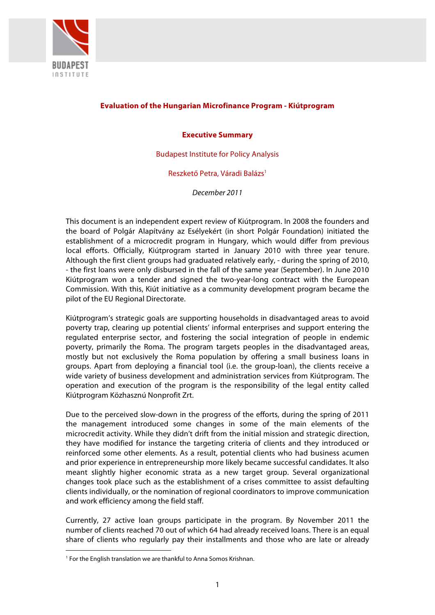

# **Evaluation of the Hungarian Microfinance Program - Kiútprogram**

## **Executive Summary**

Budapest Institute for Policy Analysis

Reszkető Petra, Váradi Balázs1

*December 2011*

This document is an independent expert review of Kiútprogram. In 2008 the founders and the board of Polgár Alapítvány az Esélyekért (in short Polgár Foundation) initiated the establishment of a microcredit program in Hungary, which would differ from previous local efforts. Officially, Kiútprogram started in January 2010 with three year tenure. Although the first client groups had graduated relatively early, - during the spring of 2010, - the first loans were only disbursed in the fall of the same year (September). In June 2010 Kiútprogram won a tender and signed the two-year-long contract with the European Commission. With this, Kiút initiative as a community development program became the pilot of the EU Regional Directorate.

Kiútprogram's strategic goals are supporting households in disadvantaged areas to avoid poverty trap, clearing up potential clients' informal enterprises and support entering the regulated enterprise sector, and fostering the social integration of people in endemic poverty, primarily the Roma. The program targets peoples in the disadvantaged areas, mostly but not exclusively the Roma population by offering a small business loans in groups. Apart from deploying a financial tool (i.e. the group-loan), the clients receive a wide variety of business development and administration services from Kiútprogram. The operation and execution of the program is the responsibility of the legal entity called Kiútprogram Közhasznú Nonprofit Zrt.

Due to the perceived slow-down in the progress of the efforts, during the spring of 2011 the management introduced some changes in some of the main elements of the microcredit activity. While they didn't drift from the initial mission and strategic direction, they have modified for instance the targeting criteria of clients and they introduced or reinforced some other elements. As a result, potential clients who had business acumen and prior experience in entrepreneurship more likely became successful candidates. It also meant slightly higher economic strata as a new target group. Several organizational changes took place such as the establishment of a crises committee to assist defaulting clients individually, or the nomination of regional coordinators to improve communication and work efficiency among the field staff.

Currently, 27 active loan groups participate in the program. By November 2011 the number of clients reached 70 out of which 64 had already received loans. There is an equal share of clients who regularly pay their installments and those who are late or already

<sup>&</sup>lt;sup>1</sup> For the English translation we are thankful to Anna Somos Krishnan.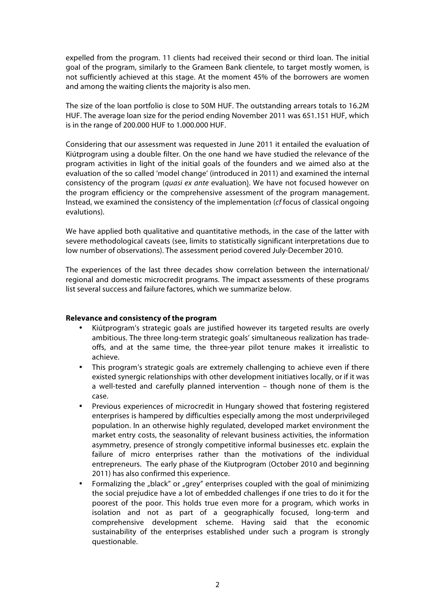expelled from the program. 11 clients had received their second or third loan. The initial goal of the program, similarly to the Grameen Bank clientele, to target mostly women, is not sufficiently achieved at this stage. At the moment 45% of the borrowers are women and among the waiting clients the majority is also men.

The size of the loan portfolio is close to 50M HUF. The outstanding arrears totals to 16.2M HUF. The average loan size for the period ending November 2011 was 651.151 HUF, which is in the range of 200.000 HUF to 1.000.000 HUF.

Considering that our assessment was requested in June 2011 it entailed the evaluation of Kiútprogram using a double filter. On the one hand we have studied the relevance of the program activities in light of the initial goals of the founders and we aimed also at the evaluation of the so called 'model change' (introduced in 2011) and examined the internal consistency of the program (*quasi ex ante* evaluation). We have not focused however on the program efficiency or the comprehensive assessment of the program management. Instead, we examined the consistency of the implementation (*cf* focus of classical ongoing evalutions).

We have applied both qualitative and quantitative methods, in the case of the latter with severe methodological caveats (see, limits to statistically significant interpretations due to low number of observations). The assessment period covered July-December 2010.

The experiences of the last three decades show correlation between the international/ regional and domestic microcredit programs. The impact assessments of these programs list several success and failure factores, which we summarize below.

### **Relevance and consistency of the program**

- Kiútprogram's strategic goals are justified however its targeted results are overly ambitious. The three long-term strategic goals' simultaneous realization has tradeoffs, and at the same time, the three-year pilot tenure makes it irrealistic to achieve.
- This program's strategic goals are extremely challenging to achieve even if there existed synergic relationships with other development initiatives locally, or if it was a well-tested and carefully planned intervention – though none of them is the case.
- Previous experiences of microcredit in Hungary showed that fostering registered enterprises is hampered by difficulties especially among the most underprivileged population. In an otherwise highly regulated, developed market environment the market entry costs, the seasonality of relevant business activities, the information asymmetry, presence of strongly competitive informal businesses etc. explain the failure of micro enterprises rather than the motivations of the individual entrepreneurs. The early phase of the Kiutprogram (October 2010 and beginning 2011) has also confirmed this experience.
- Formalizing the "black" or "grey" enterprises coupled with the goal of minimizing the social prejudice have a lot of embedded challenges if one tries to do it for the poorest of the poor. This holds true even more for a program, which works in isolation and not as part of a geographically focused, long-term and comprehensive development scheme. Having said that the economic sustainability of the enterprises established under such a program is strongly questionable.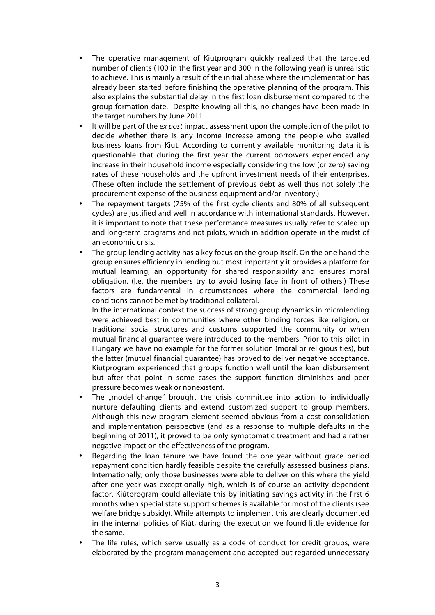- The operative management of Kiutprogram quickly realized that the targeted number of clients (100 in the first year and 300 in the following year) is unrealistic to achieve. This is mainly a result of the initial phase where the implementation has already been started before finishing the operative planning of the program. This also explains the substantial delay in the first loan disbursement compared to the group formation date. Despite knowing all this, no changes have been made in the target numbers by June 2011.
- It will be part of the *ex post* impact assessment upon the completion of the pilot to decide whether there is any income increase among the people who availed business loans from Kiut. According to currently available monitoring data it is questionable that during the first year the current borrowers experienced any increase in their household income especially considering the low (or zero) saving rates of these households and the upfront investment needs of their enterprises. (These often include the settlement of previous debt as well thus not solely the procurement expense of the business equipment and/or inventory.)
- The repayment targets (75% of the first cycle clients and 80% of all subsequent cycles) are justified and well in accordance with international standards. However, it is important to note that these performance measures usually refer to scaled up and long-term programs and not pilots, which in addition operate in the midst of an economic crisis.
- The group lending activity has a key focus on the group itself. On the one hand the group ensures efficiency in lending but most importantly it provides a platform for mutual learning, an opportunity for shared responsibility and ensures moral obligation. (I.e. the members try to avoid losing face in front of others.) These factors are fundamental in circumstances where the commercial lending conditions cannot be met by traditional collateral.

In the international context the success of strong group dynamics in microlending were achieved best in communities where other binding forces like religion, or traditional social structures and customs supported the community or when mutual financial guarantee were introduced to the members. Prior to this pilot in Hungary we have no example for the former solution (moral or religious ties), but the latter (mutual financial guarantee) has proved to deliver negative acceptance. Kiutprogram experienced that groups function well until the loan disbursement but after that point in some cases the support function diminishes and peer pressure becomes weak or nonexistent.

- The "model change" brought the crisis committee into action to individually nurture defaulting clients and extend customized support to group members. Although this new program element seemed obvious from a cost consolidation and implementation perspective (and as a response to multiple defaults in the beginning of 2011), it proved to be only symptomatic treatment and had a rather negative impact on the effectiveness of the program.
- Regarding the loan tenure we have found the one year without grace period repayment condition hardly feasible despite the carefully assessed business plans. Internationally, only those businesses were able to deliver on this where the yield after one year was exceptionally high, which is of course an activity dependent factor. Kiútprogram could alleviate this by initiating savings activity in the first 6 months when special state support schemes is available for most of the clients (see welfare bridge subsidy). While attempts to implement this are clearly documented in the internal policies of Kiút, during the execution we found little evidence for the same.
- The life rules, which serve usually as a code of conduct for credit groups, were elaborated by the program management and accepted but regarded unnecessary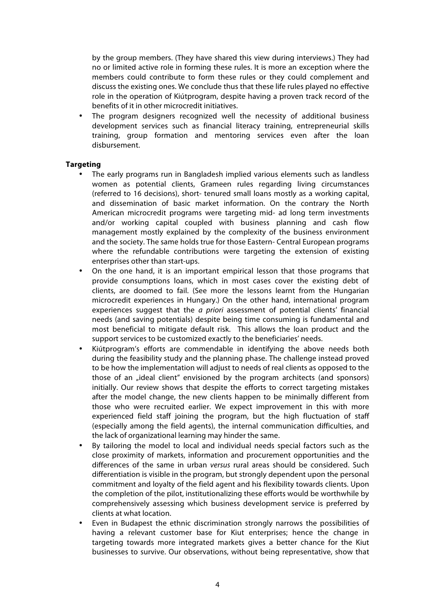by the group members. (They have shared this view during interviews.) They had no or limited active role in forming these rules. It is more an exception where the members could contribute to form these rules or they could complement and discuss the existing ones. We conclude thus that these life rules played no effective role in the operation of Kiútprogram, despite having a proven track record of the benefits of it in other microcredit initiatives.

The program designers recognized well the necessity of additional business development services such as financial literacy training, entrepreneurial skills training, group formation and mentoring services even after the loan disbursement.

### **Targeting**

- The early programs run in Bangladesh implied various elements such as landless women as potential clients, Grameen rules regarding living circumstances (referred to 16 decisions), short- tenured small loans mostly as a working capital, and dissemination of basic market information. On the contrary the North American microcredit programs were targeting mid- ad long term investments and/or working capital coupled with business planning and cash flow management mostly explained by the complexity of the business environment and the society. The same holds true for those Eastern- Central European programs where the refundable contributions were targeting the extension of existing enterprises other than start-ups.
- On the one hand, it is an important empirical lesson that those programs that provide consumptions loans, which in most cases cover the existing debt of clients, are doomed to fail. (See more the lessons learnt from the Hungarian microcredit experiences in Hungary.) On the other hand, international program experiences suggest that the *a priori* assessment of potential clients' financial needs (and saving potentials) despite being time consuming is fundamental and most beneficial to mitigate default risk. This allows the loan product and the support services to be customized exactly to the beneficiaries' needs.
- Kiútprogram's efforts are commendable in identifying the above needs both during the feasibility study and the planning phase. The challenge instead proved to be how the implementation will adjust to needs of real clients as opposed to the those of an "ideal client" envisioned by the program architects (and sponsors) initially. Our review shows that despite the efforts to correct targeting mistakes after the model change, the new clients happen to be minimally different from those who were recruited earlier. We expect improvement in this with more experienced field staff joining the program, but the high fluctuation of staff (especially among the field agents), the internal communication difficulties, and the lack of organizational learning may hinder the same.
- By tailoring the model to local and individual needs special factors such as the close proximity of markets, information and procurement opportunities and the differences of the same in urban *versus* rural areas should be considered. Such differentiation is visible in the program, but strongly dependent upon the personal commitment and loyalty of the field agent and his flexibility towards clients. Upon the completion of the pilot, institutionalizing these efforts would be worthwhile by comprehensively assessing which business development service is preferred by clients at what location.
- Even in Budapest the ethnic discrimination strongly narrows the possibilities of having a relevant customer base for Kiut enterprises; hence the change in targeting towards more integrated markets gives a better chance for the Kiut businesses to survive. Our observations, without being representative, show that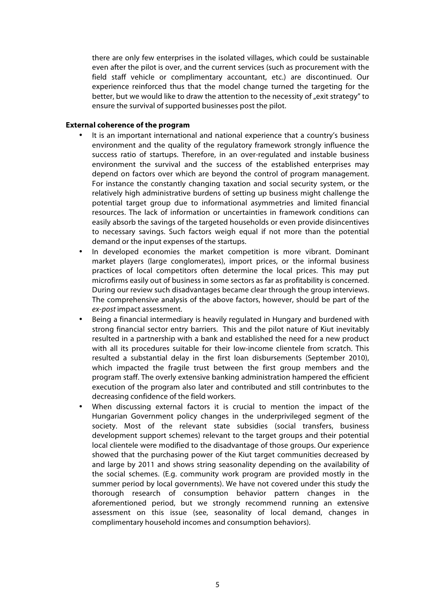there are only few enterprises in the isolated villages, which could be sustainable even after the pilot is over, and the current services (such as procurement with the field staff vehicle or complimentary accountant, etc.) are discontinued. Our experience reinforced thus that the model change turned the targeting for the better, but we would like to draw the attention to the necessity of "exit strategy" to ensure the survival of supported businesses post the pilot.

#### **External coherence of the program**

- It is an important international and national experience that a country's business environment and the quality of the regulatory framework strongly influence the success ratio of startups. Therefore, in an over-regulated and instable business environment the survival and the success of the established enterprises may depend on factors over which are beyond the control of program management. For instance the constantly changing taxation and social security system, or the relatively high administrative burdens of setting up business might challenge the potential target group due to informational asymmetries and limited financial resources. The lack of information or uncertainties in framework conditions can easily absorb the savings of the targeted households or even provide disincentives to necessary savings. Such factors weigh equal if not more than the potential demand or the input expenses of the startups.
- In developed economies the market competition is more vibrant. Dominant market players (large conglomerates), import prices, or the informal business practices of local competitors often determine the local prices. This may put microfirms easily out of business in some sectors as far as profitability is concerned. During our review such disadvantages became clear through the group interviews. The comprehensive analysis of the above factors, however, should be part of the *ex-post* impact assessment.
- Being a financial intermediary is heavily regulated in Hungary and burdened with strong financial sector entry barriers. This and the pilot nature of Kiut inevitably resulted in a partnership with a bank and established the need for a new product with all its procedures suitable for their low-income clientele from scratch. This resulted a substantial delay in the first loan disbursements (September 2010), which impacted the fragile trust between the first group members and the program staff. The overly extensive banking administration hampered the efficient execution of the program also later and contributed and still contrinbutes to the decreasing confidence of the field workers.
- When discussing external factors it is crucial to mention the impact of the Hungarian Government policy changes in the underprivileged segment of the society. Most of the relevant state subsidies (social transfers, business development support schemes) relevant to the target groups and their potential local clientele were modified to the disadvantage of those groups. Our experience showed that the purchasing power of the Kiut target communities decreased by and large by 2011 and shows string seasonality depending on the availability of the social schemes. (E.g. community work program are provided mostly in the summer period by local governments). We have not covered under this study the thorough research of consumption behavior pattern changes in the aforementioned period, but we strongly recommend running an extensive assessment on this issue (see, seasonality of local demand, changes in complimentary household incomes and consumption behaviors).